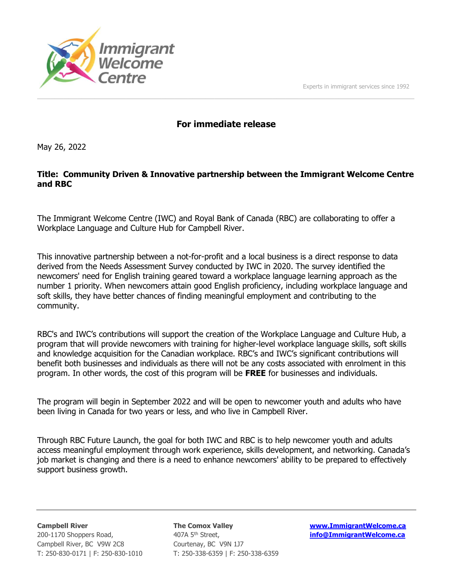



# For immediate release

 $\overline{\phantom{a}}$  ,  $\overline{\phantom{a}}$  ,  $\overline{\phantom{a}}$  ,  $\overline{\phantom{a}}$  ,  $\overline{\phantom{a}}$  ,  $\overline{\phantom{a}}$  ,  $\overline{\phantom{a}}$  ,  $\overline{\phantom{a}}$  ,  $\overline{\phantom{a}}$  ,  $\overline{\phantom{a}}$  ,  $\overline{\phantom{a}}$  ,  $\overline{\phantom{a}}$  ,  $\overline{\phantom{a}}$  ,  $\overline{\phantom{a}}$  ,  $\overline{\phantom{a}}$  ,  $\overline{\phantom{a}}$ 

May 26, 2022

## Title: Community Driven & Innovative partnership between the Immigrant Welcome Centre and RBC

The Immigrant Welcome Centre (IWC) and Royal Bank of Canada (RBC) are collaborating to offer a Workplace Language and Culture Hub for Campbell River.

This innovative partnership between a not-for-profit and a local business is a direct response to data derived from the Needs Assessment Survey conducted by IWC in 2020. The survey identified the newcomers' need for English training geared toward a workplace language learning approach as the number 1 priority. When newcomers attain good English proficiency, including workplace language and soft skills, they have better chances of finding meaningful employment and contributing to the community.

RBC's and IWC's contributions will support the creation of the Workplace Language and Culture Hub, a program that will provide newcomers with training for higher-level workplace language skills, soft skills and knowledge acquisition for the Canadian workplace. RBC's and IWC's significant contributions will benefit both businesses and individuals as there will not be any costs associated with enrolment in this program. In other words, the cost of this program will be FREE for businesses and individuals.

The program will begin in September 2022 and will be open to newcomer youth and adults who have been living in Canada for two years or less, and who live in Campbell River.

Through RBC Future Launch, the goal for both IWC and RBC is to help newcomer youth and adults access meaningful employment through work experience, skills development, and networking. Canada's job market is changing and there is a need to enhance newcomers' ability to be prepared to effectively support business growth.

Campbell River, BC V9W 2C8 Courtenay, BC V9N 1J7

Campbell River **The Comox Valley** www.ImmigrantWelcome.ca 200-1170 Shoppers Road, **100-1170 Shoppers Road,** 100-1170 Shoppers Road, info@ImmigrantWelcome.ca T: 250-830-0171 | F: 250-830-1010 T: 250-338-6359 | F: 250-338-6359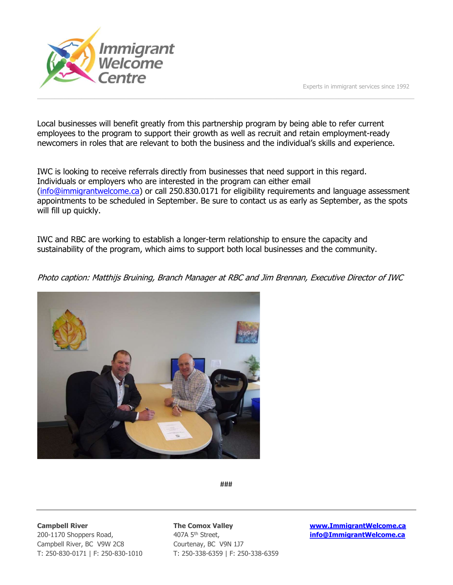

Local businesses will benefit greatly from this partnership program by being able to refer current employees to the program to support their growth as well as recruit and retain employment-ready newcomers in roles that are relevant to both the business and the individual's skills and experience.

 $\overline{\phantom{a}}$  ,  $\overline{\phantom{a}}$  ,  $\overline{\phantom{a}}$  ,  $\overline{\phantom{a}}$  ,  $\overline{\phantom{a}}$  ,  $\overline{\phantom{a}}$  ,  $\overline{\phantom{a}}$  ,  $\overline{\phantom{a}}$  ,  $\overline{\phantom{a}}$  ,  $\overline{\phantom{a}}$  ,  $\overline{\phantom{a}}$  ,  $\overline{\phantom{a}}$  ,  $\overline{\phantom{a}}$  ,  $\overline{\phantom{a}}$  ,  $\overline{\phantom{a}}$  ,  $\overline{\phantom{a}}$ 

IWC is looking to receive referrals directly from businesses that need support in this regard. Individuals or employers who are interested in the program can either email (info@immigrantwelcome.ca) or call 250.830.0171 for eligibility requirements and language assessment appointments to be scheduled in September. Be sure to contact us as early as September, as the spots will fill up quickly.

IWC and RBC are working to establish a longer-term relationship to ensure the capacity and sustainability of the program, which aims to support both local businesses and the community.

Photo caption: Matthijs Bruining, Branch Manager at RBC and Jim Brennan, Executive Director of IWC



###

Campbell River, BC V9W 2C8 Courtenay, BC V9N 1J7

200-1170 Shoppers Road, **100-1170 Shoppers Road,** 100-1170 Shoppers Road, info@ImmigrantWelcome.ca T: 250-830-0171 | F: 250-830-1010 T: 250-338-6359 | F: 250-338-6359

Campbell River The Comox Valley Washington Campbell River and The Comox Valley Washington Campbell River and The Comox Valley